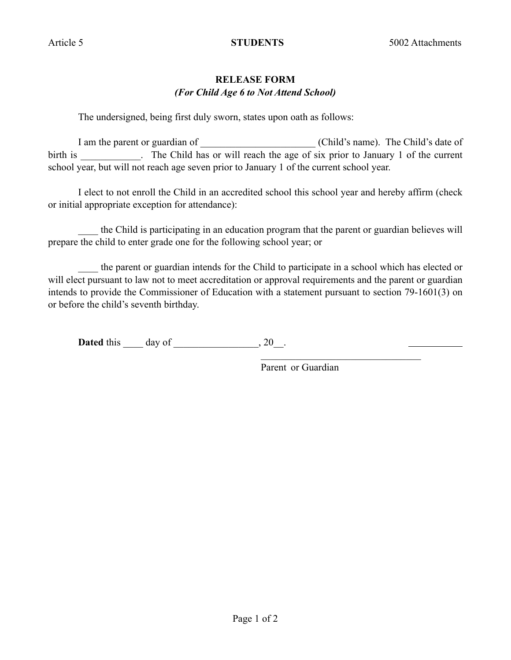## **RELEASE FORM** *(For Child Age 6 to Not Attend School)*

The undersigned, being first duly sworn, states upon oath as follows:

I am the parent or guardian of  $(Child's name)$ . The Child's date of birth is The Child has or will reach the age of six prior to January 1 of the current school year, but will not reach age seven prior to January 1 of the current school year.

I elect to not enroll the Child in an accredited school this school year and hereby affirm (check or initial appropriate exception for attendance):

\_\_\_\_ the Child is participating in an education program that the parent or guardian believes will prepare the child to enter grade one for the following school year; or

\_\_\_\_ the parent or guardian intends for the Child to participate in a school which has elected or will elect pursuant to law not to meet accreditation or approval requirements and the parent or guardian intends to provide the Commissioner of Education with a statement pursuant to section 79-1601(3) on or before the child's seventh birthday.

**Dated** this day of \_\_\_\_\_\_\_\_\_\_\_\_\_\_, 20\_\_.

Parent or Guardian

 $\mathcal{L}_\text{max}$